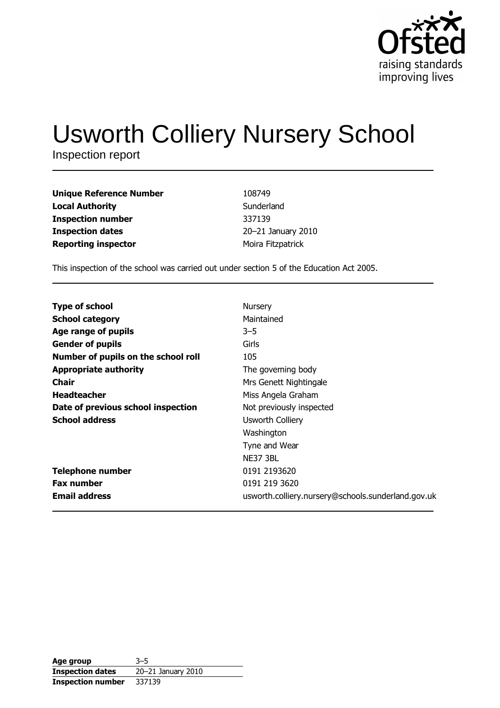

# **Usworth Colliery Nursery School**

Inspection report

| Unique Reference Number    | 108749             |
|----------------------------|--------------------|
| Local Authority            | Sunderland         |
| Inspection number          | 337139             |
| <b>Inspection dates</b>    | 20-21 January 2010 |
| <b>Reporting inspector</b> | Moira Fitzpatrick  |

This inspection of the school was carried out under section 5 of the Education Act 2005.

| <b>Type of school</b>               | Nursery                                            |
|-------------------------------------|----------------------------------------------------|
| <b>School category</b>              | Maintained                                         |
| Age range of pupils                 | $3 - 5$                                            |
| <b>Gender of pupils</b>             | Girls                                              |
| Number of pupils on the school roll | 105                                                |
| <b>Appropriate authority</b>        | The governing body                                 |
| <b>Chair</b>                        | Mrs Genett Nightingale                             |
| <b>Headteacher</b>                  | Miss Angela Graham                                 |
| Date of previous school inspection  | Not previously inspected                           |
| <b>School address</b>               | <b>Usworth Colliery</b>                            |
|                                     | Washington                                         |
|                                     | Tyne and Wear                                      |
|                                     | <b>NE37 3BL</b>                                    |
| <b>Telephone number</b>             | 0191 2193620                                       |
| <b>Fax number</b>                   | 0191 219 3620                                      |
| <b>Email address</b>                | usworth.colliery.nursery@schools.sunderland.gov.uk |
|                                     |                                                    |

| Age group                | $3 - 5$            |
|--------------------------|--------------------|
| <b>Inspection dates</b>  | 20-21 January 2010 |
| <b>Inspection number</b> | 337139             |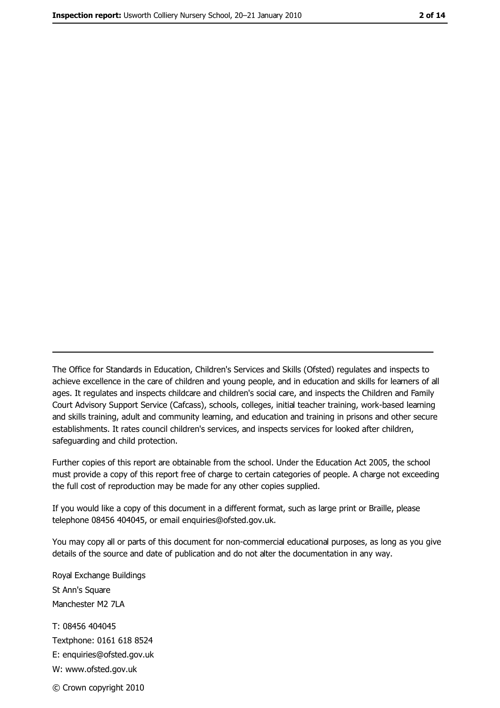The Office for Standards in Education, Children's Services and Skills (Ofsted) regulates and inspects to achieve excellence in the care of children and young people, and in education and skills for learners of all ages. It regulates and inspects childcare and children's social care, and inspects the Children and Family Court Advisory Support Service (Cafcass), schools, colleges, initial teacher training, work-based learning and skills training, adult and community learning, and education and training in prisons and other secure establishments. It rates council children's services, and inspects services for looked after children, safequarding and child protection.

Further copies of this report are obtainable from the school. Under the Education Act 2005, the school must provide a copy of this report free of charge to certain categories of people. A charge not exceeding the full cost of reproduction may be made for any other copies supplied.

If you would like a copy of this document in a different format, such as large print or Braille, please telephone 08456 404045, or email enquiries@ofsted.gov.uk.

You may copy all or parts of this document for non-commercial educational purposes, as long as you give details of the source and date of publication and do not alter the documentation in any way.

Royal Exchange Buildings St Ann's Square Manchester M2 7LA T: 08456 404045 Textphone: 0161 618 8524 E: enquiries@ofsted.gov.uk W: www.ofsted.gov.uk

© Crown copyright 2010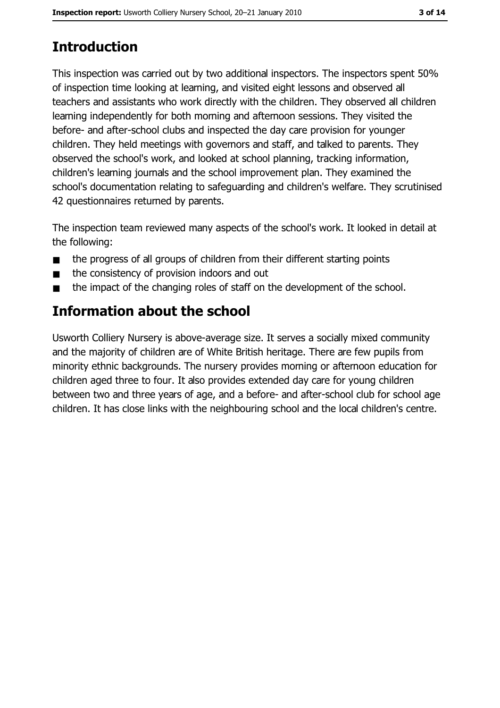# **Introduction**

This inspection was carried out by two additional inspectors. The inspectors spent 50% of inspection time looking at learning, and visited eight lessons and observed all teachers and assistants who work directly with the children. They observed all children learning independently for both morning and afternoon sessions. They visited the before- and after-school clubs and inspected the day care provision for younger children. They held meetings with governors and staff, and talked to parents. They observed the school's work, and looked at school planning, tracking information, children's learning journals and the school improvement plan. They examined the school's documentation relating to safeguarding and children's welfare. They scrutinised 42 questionnaires returned by parents.

The inspection team reviewed many aspects of the school's work. It looked in detail at the following:

- the progress of all groups of children from their different starting points  $\blacksquare$
- the consistency of provision indoors and out  $\blacksquare$
- the impact of the changing roles of staff on the development of the school.  $\blacksquare$

# **Information about the school**

Usworth Colliery Nursery is above-average size. It serves a socially mixed community and the majority of children are of White British heritage. There are few pupils from minority ethnic backgrounds. The nursery provides morning or afternoon education for children aged three to four. It also provides extended day care for young children between two and three years of age, and a before- and after-school club for school age children. It has close links with the neighbouring school and the local children's centre.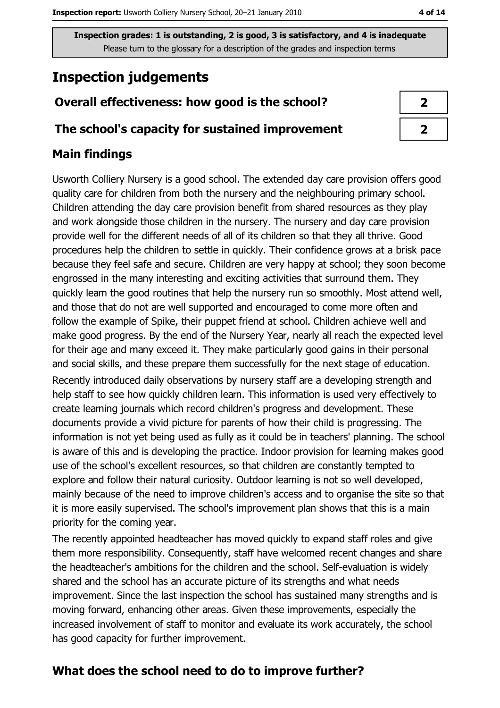# **Inspection judgements**

# Overall effectiveness: how good is the school?

## The school's capacity for sustained improvement

## **Main findings**

Usworth Colliery Nursery is a good school. The extended day care provision offers good quality care for children from both the nursery and the neighbouring primary school. Children attending the day care provision benefit from shared resources as they play and work alongside those children in the nursery. The nursery and day care provision provide well for the different needs of all of its children so that they all thrive. Good procedures help the children to settle in quickly. Their confidence grows at a brisk pace because they feel safe and secure. Children are very happy at school; they soon become engrossed in the many interesting and exciting activities that surround them. They quickly learn the good routines that help the nursery run so smoothly. Most attend well, and those that do not are well supported and encouraged to come more often and follow the example of Spike, their puppet friend at school. Children achieve well and make good progress. By the end of the Nursery Year, nearly all reach the expected level for their age and many exceed it. They make particularly good gains in their personal and social skills, and these prepare them successfully for the next stage of education. Recently introduced daily observations by nursery staff are a developing strength and help staff to see how quickly children learn. This information is used very effectively to create learning journals which record children's progress and development. These documents provide a vivid picture for parents of how their child is progressing. The information is not yet being used as fully as it could be in teachers' planning. The school is aware of this and is developing the practice. Indoor provision for learning makes good use of the school's excellent resources, so that children are constantly tempted to explore and follow their natural curiosity. Outdoor learning is not so well developed, mainly because of the need to improve children's access and to organise the site so that it is more easily supervised. The school's improvement plan shows that this is a main priority for the coming year.

The recently appointed headteacher has moved quickly to expand staff roles and give them more responsibility. Consequently, staff have welcomed recent changes and share the headteacher's ambitions for the children and the school. Self-evaluation is widely shared and the school has an accurate picture of its strengths and what needs improvement. Since the last inspection the school has sustained many strengths and is moving forward, enhancing other areas. Given these improvements, especially the increased involvement of staff to monitor and evaluate its work accurately, the school has good capacity for further improvement.

# What does the school need to do to improve further?

| 7 |  |
|---|--|
| ↗ |  |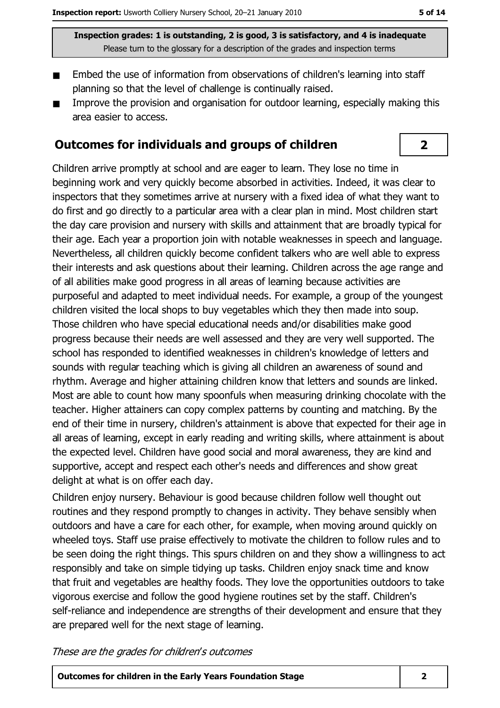$\overline{2}$ 

Inspection grades: 1 is outstanding, 2 is good, 3 is satisfactory, and 4 is inadequate Please turn to the glossary for a description of the grades and inspection terms

- Embed the use of information from observations of children's learning into staff planning so that the level of challenge is continually raised.
- Improve the provision and organisation for outdoor learning, especially making this  $\blacksquare$ area easier to access.

## Outcomes for individuals and groups of children

Children arrive promptly at school and are eager to learn. They lose no time in beginning work and very quickly become absorbed in activities. Indeed, it was clear to inspectors that they sometimes arrive at nursery with a fixed idea of what they want to do first and go directly to a particular area with a clear plan in mind. Most children start the day care provision and nursery with skills and attainment that are broadly typical for their age. Each year a proportion join with notable weaknesses in speech and language. Nevertheless, all children quickly become confident talkers who are well able to express their interests and ask questions about their learning. Children across the age range and of all abilities make good progress in all areas of learning because activities are purposeful and adapted to meet individual needs. For example, a group of the youngest children visited the local shops to buy vegetables which they then made into soup. Those children who have special educational needs and/or disabilities make good progress because their needs are well assessed and they are very well supported. The school has responded to identified weaknesses in children's knowledge of letters and sounds with regular teaching which is giving all children an awareness of sound and rhythm. Average and higher attaining children know that letters and sounds are linked. Most are able to count how many spoonfuls when measuring drinking chocolate with the teacher. Higher attainers can copy complex patterns by counting and matching. By the end of their time in nursery, children's attainment is above that expected for their age in all areas of learning, except in early reading and writing skills, where attainment is about the expected level. Children have good social and moral awareness, they are kind and supportive, accept and respect each other's needs and differences and show great delight at what is on offer each day.

Children enjoy nursery. Behaviour is good because children follow well thought out routines and they respond promptly to changes in activity. They behave sensibly when outdoors and have a care for each other, for example, when moving around quickly on wheeled toys. Staff use praise effectively to motivate the children to follow rules and to be seen doing the right things. This spurs children on and they show a willingness to act responsibly and take on simple tidying up tasks. Children enjoy snack time and know that fruit and vegetables are healthy foods. They love the opportunities outdoors to take vigorous exercise and follow the good hygiene routines set by the staff. Children's self-reliance and independence are strengths of their development and ensure that they are prepared well for the next stage of learning.

These are the grades for children's outcomes

**Outcomes for children in the Early Years Foundation Stage**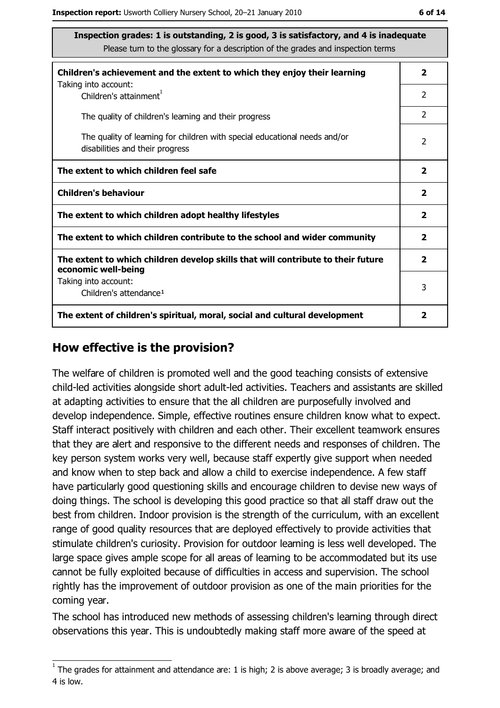| Inspection grades: 1 is outstanding, 2 is good, 3 is satisfactory, and 4 is inadequate<br>Please turn to the glossary for a description of the grades and inspection terms |                |  |
|----------------------------------------------------------------------------------------------------------------------------------------------------------------------------|----------------|--|
| Children's achievement and the extent to which they enjoy their learning<br>Taking into account:                                                                           | $\overline{2}$ |  |
| Children's attainment <sup>1</sup>                                                                                                                                         | $\overline{2}$ |  |
| The quality of children's learning and their progress                                                                                                                      | $\overline{2}$ |  |
| The quality of learning for children with special educational needs and/or<br>disabilities and their progress                                                              | $\mathcal{P}$  |  |
| The extent to which children feel safe                                                                                                                                     |                |  |
| <b>Children's behaviour</b>                                                                                                                                                |                |  |
| The extent to which children adopt healthy lifestyles                                                                                                                      |                |  |
| The extent to which children contribute to the school and wider community                                                                                                  |                |  |
| The extent to which children develop skills that will contribute to their future<br>economic well-being                                                                    |                |  |
| Taking into account:<br>Children's attendance <sup>1</sup>                                                                                                                 | 3              |  |
| The extent of children's spiritual, moral, social and cultural development<br>2                                                                                            |                |  |

### How effective is the provision?

The welfare of children is promoted well and the good teaching consists of extensive child-led activities alongside short adult-led activities. Teachers and assistants are skilled at adapting activities to ensure that the all children are purposefully involved and develop independence. Simple, effective routines ensure children know what to expect. Staff interact positively with children and each other. Their excellent teamwork ensures that they are alert and responsive to the different needs and responses of children. The key person system works very well, because staff expertly give support when needed and know when to step back and allow a child to exercise independence. A few staff have particularly good questioning skills and encourage children to devise new ways of doing things. The school is developing this good practice so that all staff draw out the best from children. Indoor provision is the strength of the curriculum, with an excellent range of good quality resources that are deployed effectively to provide activities that stimulate children's curiosity. Provision for outdoor learning is less well developed. The large space gives ample scope for all areas of learning to be accommodated but its use cannot be fully exploited because of difficulties in access and supervision. The school rightly has the improvement of outdoor provision as one of the main priorities for the coming year.

The school has introduced new methods of assessing children's learning through direct observations this year. This is undoubtedly making staff more aware of the speed at

 $1$  The grades for attainment and attendance are: 1 is high; 2 is above average; 3 is broadly average; and 4 is low.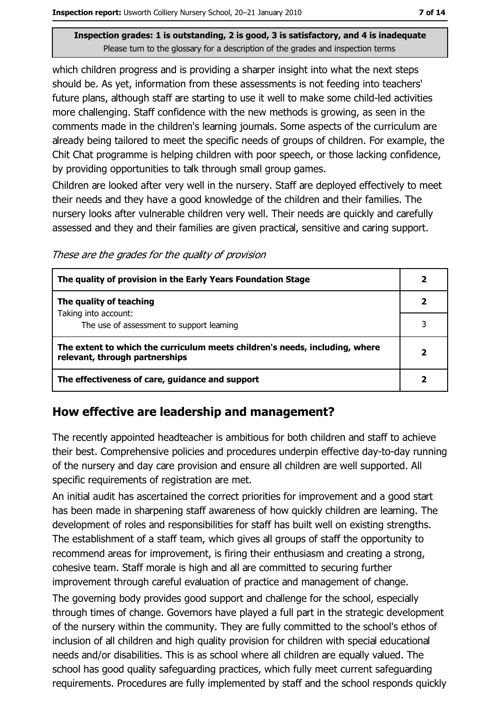which children progress and is providing a sharper insight into what the next steps should be. As yet, information from these assessments is not feeding into teachers' future plans, although staff are starting to use it well to make some child-led activities more challenging. Staff confidence with the new methods is growing, as seen in the comments made in the children's learning journals. Some aspects of the curriculum are already being tailored to meet the specific needs of groups of children. For example, the Chit Chat programme is helping children with poor speech, or those lacking confidence, by providing opportunities to talk through small group games.

Children are looked after very well in the nursery. Staff are deployed effectively to meet their needs and they have a good knowledge of the children and their families. The nursery looks after vulnerable children very well. Their needs are quickly and carefully assessed and they and their families are given practical, sensitive and caring support.

These are the grades for the quality of provision

| The quality of provision in the Early Years Foundation Stage                                                  |  |
|---------------------------------------------------------------------------------------------------------------|--|
| The quality of teaching                                                                                       |  |
| Taking into account:<br>The use of assessment to support learning                                             |  |
| The extent to which the curriculum meets children's needs, including, where<br>relevant, through partnerships |  |
| The effectiveness of care, guidance and support                                                               |  |

## How effective are leadership and management?

The recently appointed headteacher is ambitious for both children and staff to achieve their best. Comprehensive policies and procedures underpin effective day-to-day running of the nursery and day care provision and ensure all children are well supported. All specific requirements of registration are met.

An initial audit has ascertained the correct priorities for improvement and a good start has been made in sharpening staff awareness of how quickly children are learning. The development of roles and responsibilities for staff has built well on existing strengths. The establishment of a staff team, which gives all groups of staff the opportunity to recommend areas for improvement, is firing their enthusiasm and creating a strong, cohesive team. Staff morale is high and all are committed to securing further improvement through careful evaluation of practice and management of change.

The governing body provides good support and challenge for the school, especially through times of change. Governors have played a full part in the strategic development of the nursery within the community. They are fully committed to the school's ethos of inclusion of all children and high quality provision for children with special educational needs and/or disabilities. This is as school where all children are equally valued. The school has good quality safeguarding practices, which fully meet current safeguarding requirements. Procedures are fully implemented by staff and the school responds quickly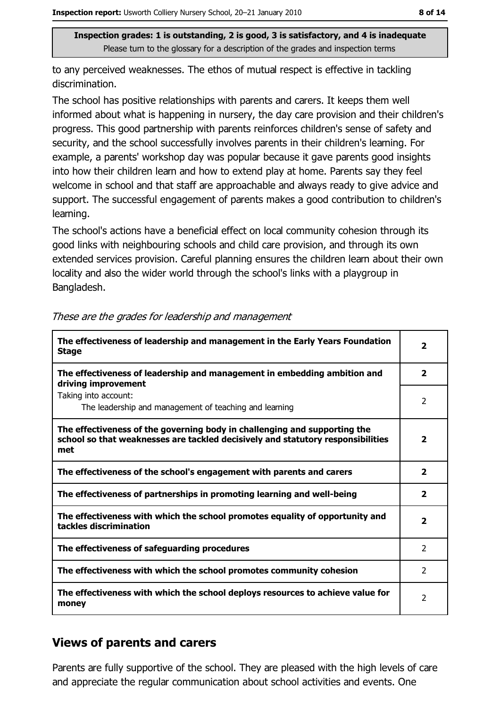to any perceived weaknesses. The ethos of mutual respect is effective in tackling discrimination.

The school has positive relationships with parents and carers. It keeps them well informed about what is happening in nursery, the day care provision and their children's progress. This good partnership with parents reinforces children's sense of safety and security, and the school successfully involves parents in their children's learning. For example, a parents' workshop day was popular because it gave parents good insights into how their children learn and how to extend play at home. Parents say they feel welcome in school and that staff are approachable and always ready to give advice and support. The successful engagement of parents makes a good contribution to children's learning.

The school's actions have a beneficial effect on local community cohesion through its good links with neighbouring schools and child care provision, and through its own extended services provision. Careful planning ensures the children learn about their own locality and also the wider world through the school's links with a playgroup in Bangladesh.

| The effectiveness of leadership and management in the Early Years Foundation<br><b>Stage</b>                                                                        | $\overline{\mathbf{2}}$ |
|---------------------------------------------------------------------------------------------------------------------------------------------------------------------|-------------------------|
| The effectiveness of leadership and management in embedding ambition and<br>driving improvement                                                                     | $\overline{\mathbf{2}}$ |
| Taking into account:<br>The leadership and management of teaching and learning                                                                                      | 2                       |
| The effectiveness of the governing body in challenging and supporting the<br>school so that weaknesses are tackled decisively and statutory responsibilities<br>met | $\overline{\mathbf{2}}$ |
| The effectiveness of the school's engagement with parents and carers                                                                                                | $\mathbf{2}$            |
| The effectiveness of partnerships in promoting learning and well-being                                                                                              | 2                       |
| The effectiveness with which the school promotes equality of opportunity and<br>tackles discrimination                                                              | $\mathbf{2}$            |
| The effectiveness of safeguarding procedures                                                                                                                        | 2                       |
| The effectiveness with which the school promotes community cohesion                                                                                                 | $\mathcal{P}$           |
| The effectiveness with which the school deploys resources to achieve value for<br>money                                                                             | 2                       |

#### These are the grades for leadership and management

# **Views of parents and carers**

Parents are fully supportive of the school. They are pleased with the high levels of care and appreciate the regular communication about school activities and events. One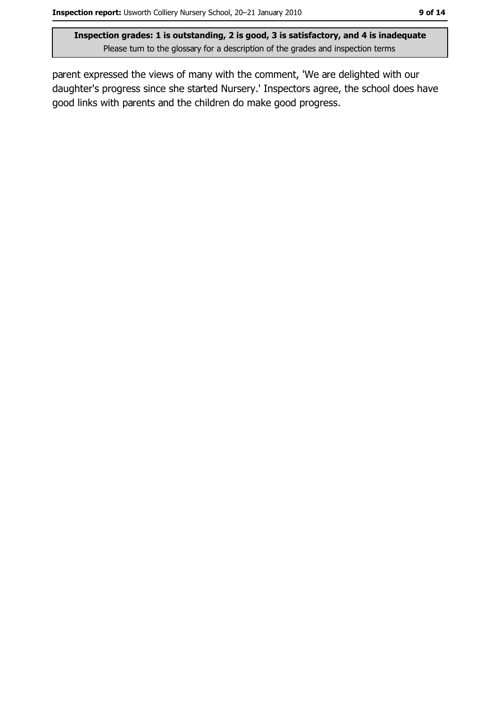parent expressed the views of many with the comment, 'We are delighted with our daughter's progress since she started Nursery.' Inspectors agree, the school does have good links with parents and the children do make good progress.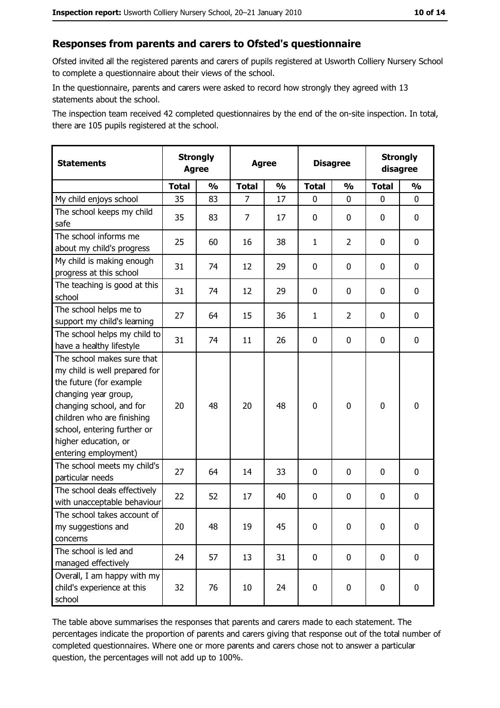#### Responses from parents and carers to Ofsted's questionnaire

Ofsted invited all the registered parents and carers of pupils registered at Usworth Colliery Nursery School to complete a questionnaire about their views of the school.

In the questionnaire, parents and carers were asked to record how strongly they agreed with 13 statements about the school.

The inspection team received 42 completed questionnaires by the end of the on-site inspection. In total, there are 105 pupils registered at the school.

| <b>Statements</b>                                                                                                                                                                                                                                       | <b>Strongly</b><br><b>Agree</b> |               | <b>Agree</b>   |               | <b>Disagree</b> |                | <b>Strongly</b><br>disagree |               |
|---------------------------------------------------------------------------------------------------------------------------------------------------------------------------------------------------------------------------------------------------------|---------------------------------|---------------|----------------|---------------|-----------------|----------------|-----------------------------|---------------|
|                                                                                                                                                                                                                                                         | <b>Total</b>                    | $\frac{0}{0}$ | <b>Total</b>   | $\frac{0}{0}$ | <b>Total</b>    | $\frac{0}{0}$  | <b>Total</b>                | $\frac{0}{0}$ |
| My child enjoys school                                                                                                                                                                                                                                  | 35                              | 83            | $\overline{7}$ | 17            | $\mathbf{0}$    | $\mathbf{0}$   | $\mathbf{0}$                | 0             |
| The school keeps my child<br>safe                                                                                                                                                                                                                       | 35                              | 83            | $\overline{7}$ | 17            | $\mathbf 0$     | 0              | 0                           | $\mathbf 0$   |
| The school informs me<br>about my child's progress                                                                                                                                                                                                      | 25                              | 60            | 16             | 38            | $\mathbf{1}$    | $\overline{2}$ | 0                           | 0             |
| My child is making enough<br>progress at this school                                                                                                                                                                                                    | 31                              | 74            | 12             | 29            | $\mathbf 0$     | 0              | 0                           | 0             |
| The teaching is good at this<br>school                                                                                                                                                                                                                  | 31                              | 74            | 12             | 29            | $\mathbf 0$     | 0              | 0                           | 0             |
| The school helps me to<br>support my child's learning                                                                                                                                                                                                   | 27                              | 64            | 15             | 36            | $\mathbf{1}$    | $\overline{2}$ | 0                           | $\mathbf 0$   |
| The school helps my child to<br>have a healthy lifestyle                                                                                                                                                                                                | 31                              | 74            | 11             | 26            | $\mathbf 0$     | 0              | 0                           | $\mathbf 0$   |
| The school makes sure that<br>my child is well prepared for<br>the future (for example<br>changing year group,<br>changing school, and for<br>children who are finishing<br>school, entering further or<br>higher education, or<br>entering employment) | 20                              | 48            | 20             | 48            | $\mathbf 0$     | 0              | $\mathbf 0$                 | $\bf{0}$      |
| The school meets my child's<br>particular needs                                                                                                                                                                                                         | 27                              | 64            | 14             | 33            | $\mathbf 0$     | 0              | 0                           | $\mathbf 0$   |
| The school deals effectively<br>with unacceptable behaviour                                                                                                                                                                                             | 22                              | 52            | 17             | 40            | $\mathbf 0$     | 0              | 0                           | $\mathbf 0$   |
| The school takes account of<br>my suggestions and<br>concerns                                                                                                                                                                                           | 20                              | 48            | 19             | 45            | $\mathbf 0$     | 0              | 0                           | $\bf{0}$      |
| The school is led and<br>managed effectively                                                                                                                                                                                                            | 24                              | 57            | 13             | 31            | $\mathbf 0$     | 0              | $\mathbf 0$                 | 0             |
| Overall, I am happy with my<br>child's experience at this<br>school                                                                                                                                                                                     | 32                              | 76            | 10             | 24            | $\pmb{0}$       | $\pmb{0}$      | $\mathbf 0$                 | 0             |

The table above summarises the responses that parents and carers made to each statement. The percentages indicate the proportion of parents and carers giving that response out of the total number of completed questionnaires. Where one or more parents and carers chose not to answer a particular question, the percentages will not add up to 100%.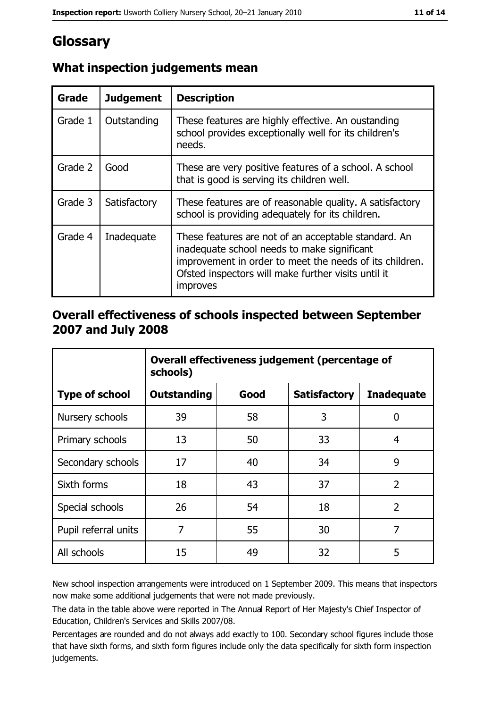# Glossary

| Grade   | <b>Judgement</b> | <b>Description</b>                                                                                                                                                                                                                |
|---------|------------------|-----------------------------------------------------------------------------------------------------------------------------------------------------------------------------------------------------------------------------------|
| Grade 1 | Outstanding      | These features are highly effective. An oustanding<br>school provides exceptionally well for its children's<br>needs.                                                                                                             |
| Grade 2 | Good             | These are very positive features of a school. A school<br>that is good is serving its children well.                                                                                                                              |
| Grade 3 | Satisfactory     | These features are of reasonable quality. A satisfactory<br>school is providing adequately for its children.                                                                                                                      |
| Grade 4 | Inadequate       | These features are not of an acceptable standard. An<br>inadequate school needs to make significant<br>improvement in order to meet the needs of its children.<br>Ofsted inspectors will make further visits until it<br>improves |

# What inspection judgements mean

## Overall effectiveness of schools inspected between September 2007 and July 2008

|                       | Overall effectiveness judgement (percentage of<br>schools) |      |                     |                   |
|-----------------------|------------------------------------------------------------|------|---------------------|-------------------|
| <b>Type of school</b> | <b>Outstanding</b>                                         | Good | <b>Satisfactory</b> | <b>Inadequate</b> |
| Nursery schools       | 39                                                         | 58   | 3                   | 0                 |
| Primary schools       | 13                                                         | 50   | 33                  | 4                 |
| Secondary schools     | 17                                                         | 40   | 34                  | 9                 |
| Sixth forms           | 18                                                         | 43   | 37                  | $\overline{2}$    |
| Special schools       | 26                                                         | 54   | 18                  | $\overline{2}$    |
| Pupil referral units  | 7                                                          | 55   | 30                  | 7                 |
| All schools           | 15                                                         | 49   | 32                  | 5                 |

New school inspection arrangements were introduced on 1 September 2009. This means that inspectors now make some additional judgements that were not made previously.

The data in the table above were reported in The Annual Report of Her Majesty's Chief Inspector of Education, Children's Services and Skills 2007/08.

Percentages are rounded and do not always add exactly to 100. Secondary school figures include those that have sixth forms, and sixth form figures include only the data specifically for sixth form inspection judgements.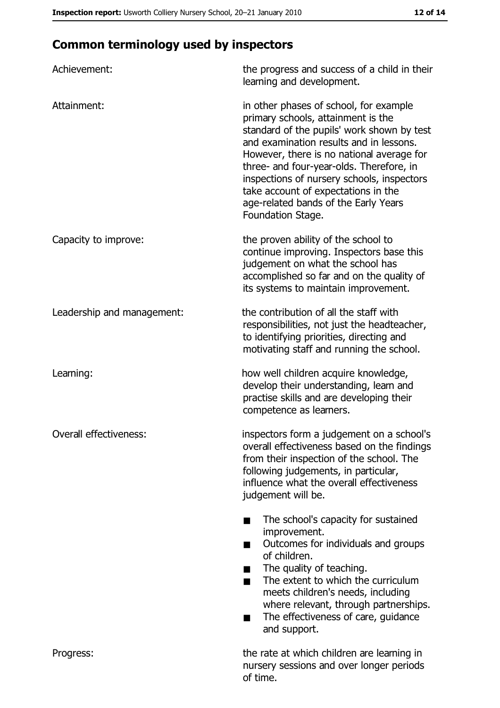# **Common terminology used by inspectors**

| Achievement:               | the progress and success of a child in their<br>learning and development.                                                                                                                                                                                                                                                                                                                                        |
|----------------------------|------------------------------------------------------------------------------------------------------------------------------------------------------------------------------------------------------------------------------------------------------------------------------------------------------------------------------------------------------------------------------------------------------------------|
| Attainment:                | in other phases of school, for example<br>primary schools, attainment is the<br>standard of the pupils' work shown by test<br>and examination results and in lessons.<br>However, there is no national average for<br>three- and four-year-olds. Therefore, in<br>inspections of nursery schools, inspectors<br>take account of expectations in the<br>age-related bands of the Early Years<br>Foundation Stage. |
| Capacity to improve:       | the proven ability of the school to<br>continue improving. Inspectors base this<br>judgement on what the school has<br>accomplished so far and on the quality of<br>its systems to maintain improvement.                                                                                                                                                                                                         |
| Leadership and management: | the contribution of all the staff with<br>responsibilities, not just the headteacher,<br>to identifying priorities, directing and<br>motivating staff and running the school.                                                                                                                                                                                                                                    |
| Learning:                  | how well children acquire knowledge,<br>develop their understanding, learn and<br>practise skills and are developing their<br>competence as learners.                                                                                                                                                                                                                                                            |
| Overall effectiveness:     | inspectors form a judgement on a school's<br>overall effectiveness based on the findings<br>from their inspection of the school. The<br>following judgements, in particular,<br>influence what the overall effectiveness<br>judgement will be.                                                                                                                                                                   |
|                            | The school's capacity for sustained<br>improvement.<br>Outcomes for individuals and groups<br>of children.<br>The quality of teaching.<br>The extent to which the curriculum<br>meets children's needs, including<br>where relevant, through partnerships.<br>The effectiveness of care, guidance<br>and support.                                                                                                |
| Progress:                  | the rate at which children are learning in<br>nursery sessions and over longer periods<br>of time.                                                                                                                                                                                                                                                                                                               |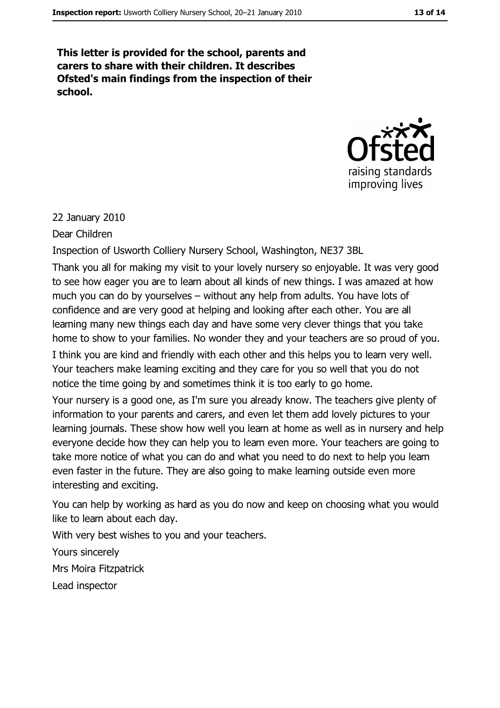This letter is provided for the school, parents and carers to share with their children. It describes Ofsted's main findings from the inspection of their school.



#### 22 January 2010

Dear Children

Inspection of Usworth Colliery Nursery School, Washington, NE37 3BL

Thank you all for making my visit to your lovely nursery so enjoyable. It was very good to see how eager you are to learn about all kinds of new things. I was amazed at how much you can do by yourselves – without any help from adults. You have lots of confidence and are very good at helping and looking after each other. You are all learning many new things each day and have some very clever things that you take home to show to your families. No wonder they and your teachers are so proud of you.

I think you are kind and friendly with each other and this helps you to learn very well. Your teachers make learning exciting and they care for you so well that you do not notice the time going by and sometimes think it is too early to go home.

Your nursery is a good one, as I'm sure you already know. The teachers give plenty of information to your parents and carers, and even let them add lovely pictures to your learning journals. These show how well you learn at home as well as in nursery and help everyone decide how they can help you to learn even more. Your teachers are going to take more notice of what you can do and what you need to do next to help you learn even faster in the future. They are also going to make learning outside even more interesting and exciting.

You can help by working as hard as you do now and keep on choosing what you would like to learn about each day.

With very best wishes to you and your teachers.

Yours sincerely

Mrs Moira Fitzpatrick

Lead inspector